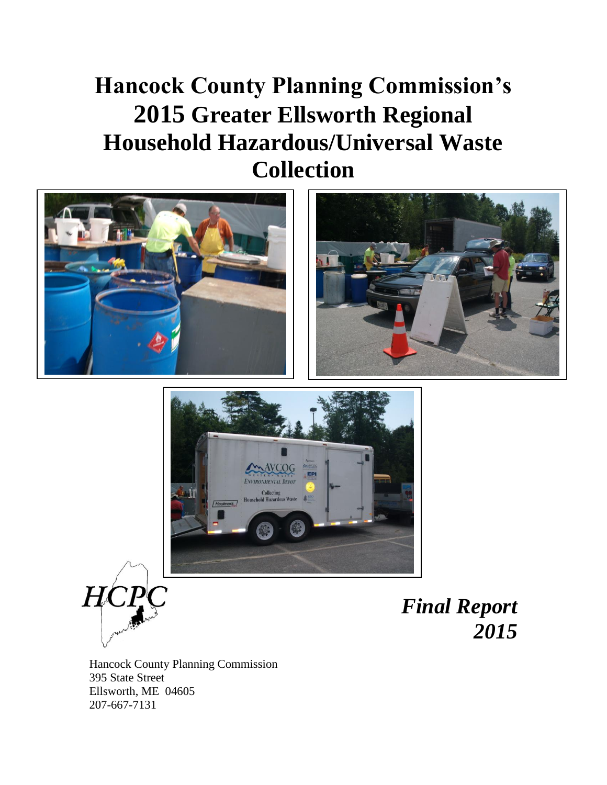# **Hancock County Planning Commission's 2015 Greater Ellsworth Regional Household Hazardous/Universal Waste Collection**









*Final Report 2015*

Hancock County Planning Commission 395 State Street Ellsworth, ME 04605 207-667-7131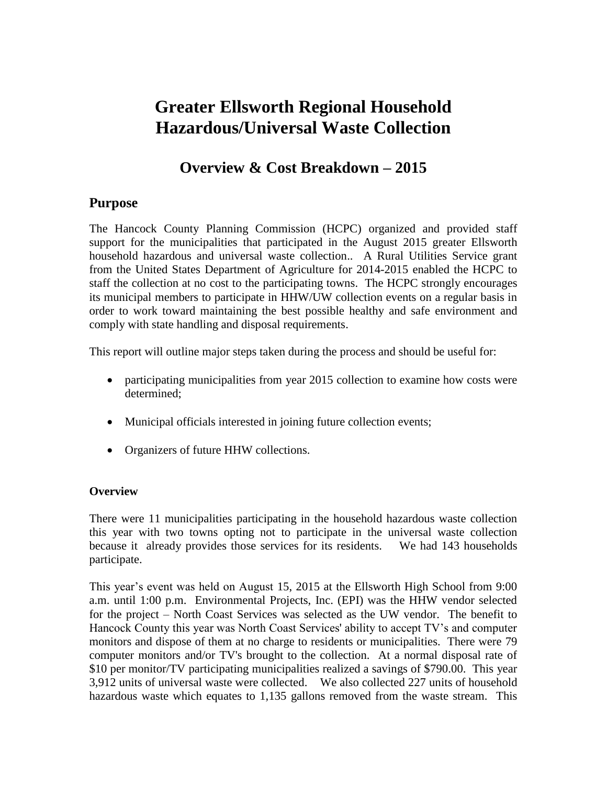## **Greater Ellsworth Regional Household Hazardous/Universal Waste Collection**

## **Overview & Cost Breakdown – 2015**

### **Purpose**

The Hancock County Planning Commission (HCPC) organized and provided staff support for the municipalities that participated in the August 2015 greater Ellsworth household hazardous and universal waste collection.. A Rural Utilities Service grant from the United States Department of Agriculture for 2014-2015 enabled the HCPC to staff the collection at no cost to the participating towns. The HCPC strongly encourages its municipal members to participate in HHW/UW collection events on a regular basis in order to work toward maintaining the best possible healthy and safe environment and comply with state handling and disposal requirements.

This report will outline major steps taken during the process and should be useful for:

- participating municipalities from year 2015 collection to examine how costs were determined;
- Municipal officials interested in joining future collection events;
- Organizers of future HHW collections.

#### **Overview**

There were 11 municipalities participating in the household hazardous waste collection this year with two towns opting not to participate in the universal waste collection because it already provides those services for its residents. We had 143 households participate.

This year's event was held on August 15, 2015 at the Ellsworth High School from 9:00 a.m. until 1:00 p.m. Environmental Projects, Inc. (EPI) was the HHW vendor selected for the project – North Coast Services was selected as the UW vendor. The benefit to Hancock County this year was North Coast Services' ability to accept TV's and computer monitors and dispose of them at no charge to residents or municipalities. There were 79 computer monitors and/or TV's brought to the collection. At a normal disposal rate of \$10 per monitor/TV participating municipalities realized a savings of \$790.00. This year 3,912 units of universal waste were collected. We also collected 227 units of household hazardous waste which equates to 1,135 gallons removed from the waste stream. This